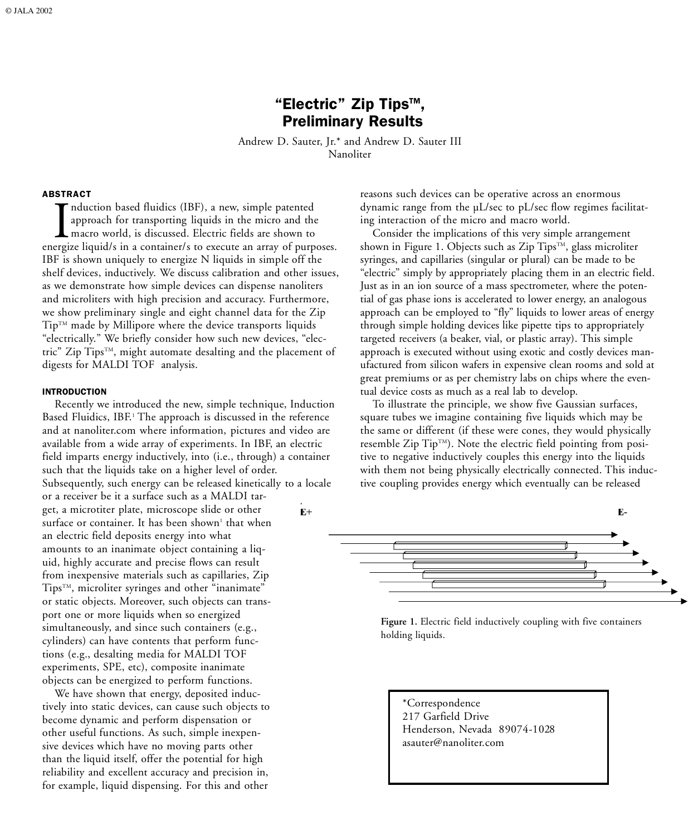# "Electric" Zip Tips™, Preliminary Results

Andrew D. Sauter, Jr.\* and Andrew D. Sauter III Nanoliter

#### ABSTRACT

Induction ba<br>approach fo<br>macro world<br>ergize liquid/s in nduction based fluidics (IBF), a new, simple patented approach for transporting liquids in the micro and the macro world, is discussed. Electric fields are shown to energize liquid/s in a container/s to execute an array of purposes. IBF is shown uniquely to energize N liquids in simple off the shelf devices, inductively. We discuss calibration and other issues, as we demonstrate how simple devices can dispense nanoliters and microliters with high precision and accuracy. Furthermore, we show preliminary single and eight channel data for the Zip  $Tip<sup>TM</sup>$  made by Millipore where the device transports liquids "electrically." We briefly consider how such new devices, "electric" Zip Tips™, might automate desalting and the placement of digests for MALDI TOF analysis.

#### INTRODUCTION

Recently we introduced the new, simple technique, Induction Based Fluidics, IBF. <sup>1</sup> The approach is discussed in the reference and at nanoliter.com where information, pictures and video are available from a wide array of experiments. In IBF, an electric field imparts energy inductively, into (i.e., through) a container such that the liquids take on a higher level of order. Subsequently, such energy can be released kinetically to a locale or a receiver be it a surface such as a MALDI target, a microtiter plate, microscope slide or other  $E^+$ surface or container. It has been shown<sup>1</sup> that when an electric field deposits energy into what amounts to an inanimate object containing a liquid, highly accurate and precise flows can result from inexpensive materials such as capillaries, Zip Tips™, microliter syringes and other "inanimate" or static objects. Moreover, such objects can transport one or more liquids when so energized simultaneously, and since such containers (e.g., cylinders) can have contents that perform functions (e.g., desalting media for MALDI TOF experiments, SPE, etc), composite inanimate objects can be energized to perform functions.

We have shown that energy, deposited inductively into static devices, can cause such objects to become dynamic and perform dispensation or other useful functions. As such, simple inexpensive devices which have no moving parts other than the liquid itself, offer the potential for high reliability and excellent accuracy and precision in, for example, liquid dispensing. For this and other

reasons such devices can be operative across an enormous dynamic range from the µL/sec to pL/sec flow regimes facilitating interaction of the micro and macro world.

Consider the implications of this very simple arrangement shown in Figure 1. Objects such as Zip Tips™, glass microliter syringes, and capillaries (singular or plural) can be made to be "electric" simply by appropriately placing them in an electric field. Just as in an ion source of a mass spectrometer, where the potential of gas phase ions is accelerated to lower energy, an analogous approach can be employed to "fly" liquids to lower areas of energy through simple holding devices like pipette tips to appropriately targeted receivers (a beaker, vial, or plastic array). This simple approach is executed without using exotic and costly devices man ufactured from silicon wafers in expensive clean rooms and sold at great premiums or as per chemistry labs on chips where the eventual device costs as much as a real lab to develop.

To illustrate the principle, we show five Gaussian surfaces, square tubes we imagine containing five liquids which may be the same or different (if these were cones, they would physically resemble Zip Tip<sup>TM</sup>). Note the electric field pointing from positive to negative inductively couples this energy into the liquids with them not being physically electrically connected. This inductive coupling provides energy which eventually can be released



Figure 1. Electric field inductively coupling with five containers holding liquids.

\*Correspondence 217 Garfield Drive Henderson, Nevada 89074-1028 asauter@nanoliter.com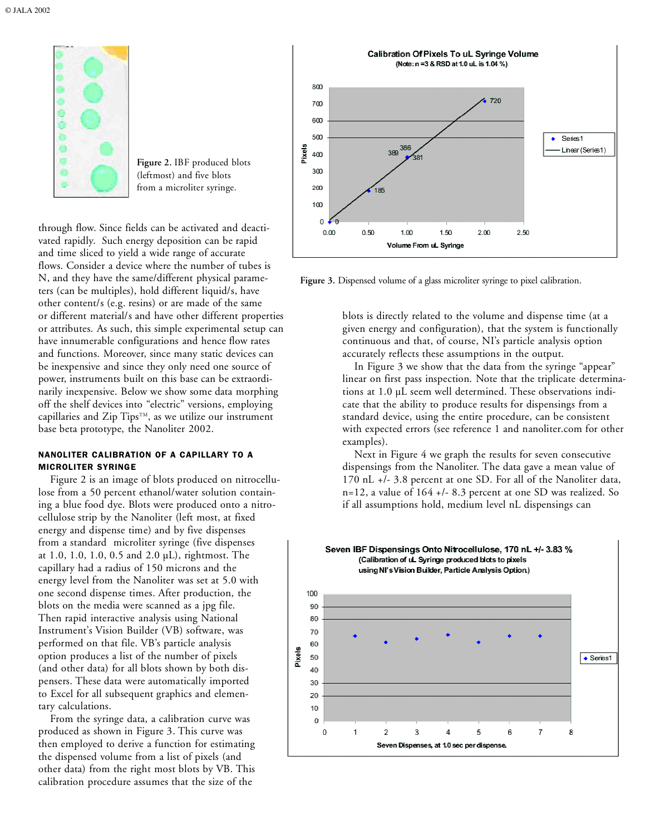

Figure 2. IBF produced blots (leftmost) and five blots from a microliter syringe.

through flow. Since fields can be activated and deactivated rapidly. Such energy deposition can be rapid and time sliced to yield a wide range of accurate flows. Consider a device where the number of tubes is N, and they have the same/different physical parameters (can be multiples), hold different liquid/s, have other content/s (e.g. resins) or are made of the same or different material/s and have other different properties or attributes. As such, this simple experimental setup can have innumerable configurations and hence flow rates and functions. Moreover, since many static devices can be inexpensive and since they only need one source of power, instruments built on this base can be extraordinarily inexpensive. Below we show some data morphing off the shelf devices into "electric" versions, employing capillaries and Zip Tips $^{rm}$ , as we utilize our instrument base beta prototype, the Nanoliter 2002.

### NANOLITER CALIBRATION OF A CAPILLARY TO A MICROLITER SYRINGE

Figure 2 is an image of blots produced on nitrocellulose from a 50 percent ethanol/water solution containing a blue food dye. Blots were produced onto a nitrocellulose strip by the Nanoliter (left most, at fixed energy and dispense time) and by five dispenses from a standard microliter syringe (five dispenses at 1.0, 1.0, 1.0, 0.5 and 2.0 µL), rightmost. The capillary had a radius of 150 microns and the energy level from the Nanoliter was set at 5.0 with one second dispense times. After production, the blots on the media were scanned as a jpg file. Then rapid interactive analysis using National Instrument's Vision Builder (VB) software, was performed on that file. VB's particle analysis option produces a list of the number of pixels (and other data) for all blots shown by both dispensers. These data were automatically imported to Excel for all subsequent graphics and elementary calculations.

From the syringe data, a calibration curve was produced as shown in Figure 3. This curve was then employed to derive a function for estimating the dispensed volume from a list of pixels (and other data) from the right most blots by VB. This calibration procedure assumes that the size of the





blots is directly related to the volume and dispense time (at a given energy and configuration), that the system is functionally continuous and that, of course, NI's particle analysis option accurately reflects these assumptions in the output.

In Figure 3 we show that the data from the syringe "appear" linear on first pass inspection. Note that the triplicate determinations at 1.0 µL seem well determined. These observations indicate that the ability to produce results for dispensings from a standard device, using the entire procedure, can be consistent with expected errors (see reference 1 and nanoliter.com for other examples).

Next in Figure 4 we graph the results for seven consecutive dispensings from the Nanoliter. The data gave a mean value of 170 nL +/- 3.8 percent at one SD. For all of the Nanoliter data, n=12, a value of 164 +/- 8.3 percent at one SD was realized. So if all assumptions hold, medium level nL dispensings can

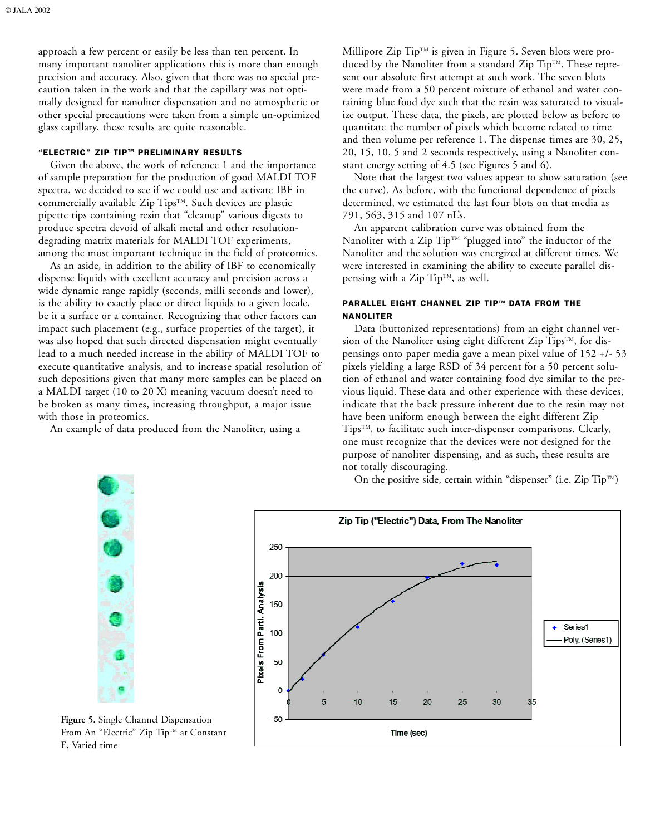approach a few percent or easily be less than ten percent. In many important nanoliter applications this is more than enough precision and accuracy. Also, given that there was no special precaution taken in the work and that the capillary was not optimally designed for nanoliter dispensation and no atmospheric or other special precautions were taken from a simple un-optimized glass capillary, these results are quite reasonable.

## "ELECTRIC" ZIP TIP™ PRELIMINARY RESULTS

Given the above, the work of reference 1 and the importance of sample preparation for the production of good MALDI TOF spectra, we decided to see if we could use and activate IBF in commercially available Zip Tips™. Such devices are plastic pipette tips containing resin that "cleanup" various digests to produce spectra devoid of alkali metal and other resolutiondegrading matrix materials for MALDI TOF experiments, among the most important technique in the field of proteomics.

As an aside, in addition to the ability of IBF to economically dispense liquids with excellent accuracy and precision across a wide dynamic range rapidly (seconds, milli seconds and lower), is the ability to exactly place or direct liquids to a given locale, be it a surface or a container. Recognizing that other factors can impact such placement (e.g., surface properties of the target), it was also hoped that such directed dispensation might eventually lead to a much needed increase in the ability of MALDI TOF to execute quantitative analysis, and to increase spatial resolution of such depositions given that many more samples can be placed on a MALDI target (10 to 20 X) meaning vacuum doesn't need to be broken as many times, increasing throughput, a major issue with those in proteomics.

An example of data produced from the Nanoliter, using a

Millipore Zip  $Tip^{TM}$  is given in Figure 5. Seven blots were produced by the Nanoliter from a standard Zip Tip<sup>TM</sup>. These represent our absolute first attempt at such work. The seven blots were made from a 50 percent mixture of ethanol and water containing blue food dye such that the resin was saturated to visualize output. These data, the pixels, are plotted below as before to quantitate the number of pixels which become related to time and then volume per reference 1. The dispense times are 30, 25, 20, 15, 10, 5 and 2 seconds respectively, using a Nanoliter constant energy setting of 4.5 (see Figures 5 and 6).

Note that the largest two values appear to show saturation (see the curve). As before, with the functional dependence of pixels determined, we estimated the last four blots on that media as 791, 563, 315 and 107 nL's.

An apparent calibration curve was obtained from the Nanoliter with a Zip Tip™ "plugged into" the inductor of the Nanoliter and the solution was energized at different times. We were interested in examining the ability to execute parallel dispensing with a Zip Tip<sup>TM</sup>, as well.

## PARALLEL EIGHT CHANNEL ZIP TIP™ DATA FROM THE NANOLITER

Data (buttonized representations) from an eight channel version of the Nanoliter using eight different Zip Tips<sup>TM</sup>, for dispensings onto paper media gave a mean pixel value of 152 +/- 53 pixels yielding a large RSD of 34 percent for a 50 percent solution of ethanol and water containing food dye similar to the previous liquid. These data and other experience with these devices, indicate that the back pressure inherent due to the resin may not have been uniform enough between the eight different Zip TipsTM, to facilitate such inter-dispenser comparisons. Clearly, one must recognize that the devices were not designed for the purpose of nanoliter dispensing, and as such, these results are not totally discouraging.

On the positive side, certain within "dispenser" (i.e. Zip  $\text{Tip}^{\text{TM}}$ )



Figure 5. Single Channel Dispensation From An "Electric" Zip Tip™ at Constant E, Varied time